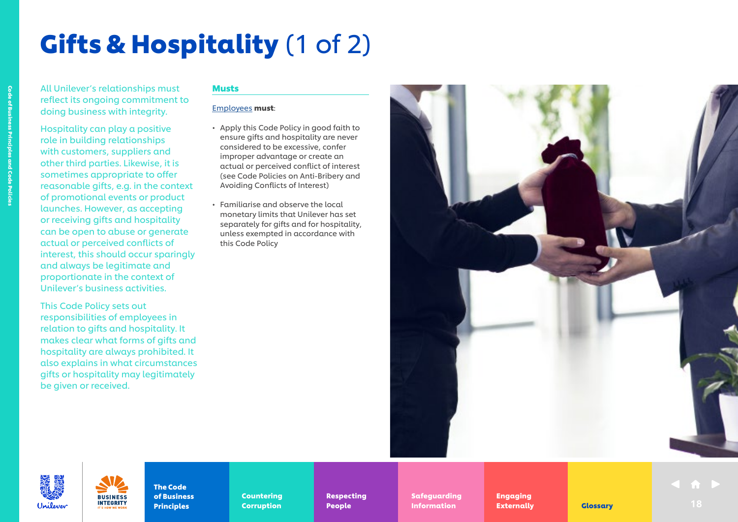# Gifts & Hospitality (1 of 2)

All Unilever's relationships must reflect its ongoing commitment to doing business with integrity.

Hospitality can play a positive role in building relationships with customers, suppliers and other third parties. Likewise, it is sometimes appropriate to offer reasonable gifts, e.g. in the context of promotional events or product launches. However, as accepting or receiving gifts and hospitality can be open to abuse or generate actual or perceived conflicts of interest, this should occur sparingly and always be legitimate and proportionate in the context of Unilever's business activities.

This Code Policy sets out responsibilities of employees in relation to gifts and hospitality. It makes clear what forms of gifts and hospitality are always prohibited. It also explains in what circumstances gifts or hospitality may legitimately be given or received.

> **BUSINESS INTEGRITY**

#### Musts

#### [Employees](https://unilever.sharepoint.com/:b:/s/Code%20and%20Code%20Policies/EdzBsjeFnGhEr7DcM2GrA5gBpFG3-zoytb8kb7YpAEwF1A?e=9pNGFV) must:

- Apply this Code Policy in good faith to ensure gifts and hospitality are never considered to be excessive, confer improper advantage or create an actual or perceived conflict of interest (see Code Policies on Anti-Bribery and Avoiding Conflicts of Interest)
- Familiarise and observe the local monetary limits that Unilever has set separately for gifts and for hospitality, unless exempted in accordance with this Code Policy





The Code of Business **Principles** 

Countering Countering Corruption Corruption

Respecting Respecting People People

Safeguarding Safeguarding Information **Externally** Clossary 18

Engaging Engaging Externally Externally **Externally Clossary** 18

Code of Business Principles and Code Policies of Business Principles and Code Policies